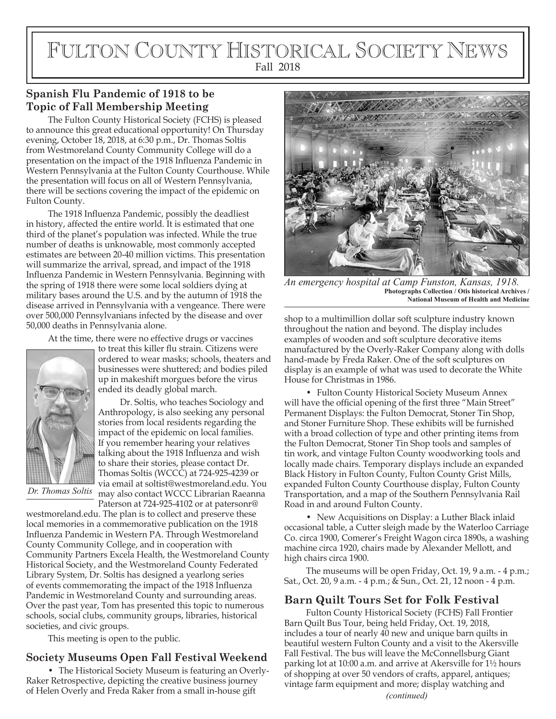# FULTON COUNTY HISTORICAL SOCIETY NEWS Fall 2018

## **Spanish Flu Pandemic of 1918 to be Topic of Fall Membership Meeting**

The Fulton County Historical Society (FCHS) is pleased to announce this great educational opportunity! On Thursday evening, October 18, 2018, at 6:30 p.m., Dr. Thomas Soltis from Westmoreland County Community College will do a presentation on the impact of the 1918 Influenza Pandemic in Western Pennsylvania at the Fulton County Courthouse. While the presentation will focus on all of Western Pennsylvania, there will be sections covering the impact of the epidemic on Fulton County.

The 1918 Influenza Pandemic, possibly the deadliest in history, affected the entire world. It is estimated that one third of the planet's population was infected. While the true number of deaths is unknowable, most commonly accepted estimates are between 20-40 million victims. This presentation will summarize the arrival, spread, and impact of the 1918 Influenza Pandemic in Western Pennsylvania. Beginning with the spring of 1918 there were some local soldiers dying at military bases around the U.S. and by the autumn of 1918 the disease arrived in Pennsylvania with a vengeance. There were over 500,000 Pennsylvanians infected by the disease and over 50,000 deaths in Pennsylvania alone.

At the time, there were no effective drugs or vaccines



to treat this killer flu strain. Citizens were ordered to wear masks; schools, theaters and businesses were shuttered; and bodies piled up in makeshift morgues before the virus ended its deadly global march.

Dr. Soltis, who teaches Sociology and Anthropology, is also seeking any personal stories from local residents regarding the impact of the epidemic on local families. If you remember hearing your relatives talking about the 1918 Influenza and wish to share their stories, please contact Dr. Thomas Soltis (WCCC) at 724-925-4239 or via email at soltist@westmoreland.edu. You may also contact WCCC Librarian Raeanna Paterson at 724-925-4102 or at patersonr@

*Dr. Thomas Soltis*

westmoreland.edu. The plan is to collect and preserve these local memories in a commemorative publication on the 1918 Influenza Pandemic in Western PA. Through Westmoreland County Community College, and in cooperation with Community Partners Excela Health, the Westmoreland County Historical Society, and the Westmoreland County Federated Library System, Dr. Soltis has designed a yearlong series of events commemorating the impact of the 1918 Influenza Pandemic in Westmoreland County and surrounding areas. Over the past year, Tom has presented this topic to numerous schools, social clubs, community groups, libraries, historical societies, and civic groups.

This meeting is open to the public.

### **Society Museums Open Fall Festival Weekend**

• The Historical Society Museum is featuring an Overly-Raker Retrospective, depicting the creative business journey of Helen Overly and Freda Raker from a small in-house gift *(continued)*



*An emergency hospital at Camp Funston, Kansas, 1918.* **Photographs Collection / Otis historical Archives / National Museum of Health and Medicine**

shop to a multimillion dollar soft sculpture industry known throughout the nation and beyond. The display includes examples of wooden and soft sculpture decorative items manufactured by the Overly-Raker Company along with dolls hand-made by Freda Raker. One of the soft sculptures on display is an example of what was used to decorate the White House for Christmas in 1986.

• Fulton County Historical Society Museum Annex will have the official opening of the first three "Main Street" Permanent Displays: the Fulton Democrat, Stoner Tin Shop, and Stoner Furniture Shop. These exhibits will be furnished with a broad collection of type and other printing items from the Fulton Democrat, Stoner Tin Shop tools and samples of tin work, and vintage Fulton County woodworking tools and locally made chairs. Temporary displays include an expanded Black History in Fulton County, Fulton County Grist Mills, expanded Fulton County Courthouse display, Fulton County Transportation, and a map of the Southern Pennsylvania Rail Road in and around Fulton County.

• New Acquisitions on Display: a Luther Black inlaid occasional table, a Cutter sleigh made by the Waterloo Carriage Co. circa 1900, Comerer's Freight Wagon circa 1890s, a washing machine circa 1920, chairs made by Alexander Mellott, and high chairs circa 1900.

The museums will be open Friday, Oct. 19, 9 a.m. - 4 p.m.; Sat., Oct. 20, 9 a.m. - 4 p.m.; & Sun., Oct. 21, 12 noon - 4 p.m.

#### **Barn Quilt Tours Set for Folk Festival**

Fulton County Historical Society (FCHS) Fall Frontier Barn Quilt Bus Tour, being held Friday, Oct. 19, 2018, includes a tour of nearly 40 new and unique barn quilts in beautiful western Fulton County and a visit to the Akersville Fall Festival. The bus will leave the McConnellsburg Giant parking lot at 10:00 a.m. and arrive at Akersville for 1½ hours of shopping at over 50 vendors of crafts, apparel, antiques; vintage farm equipment and more; display watching and